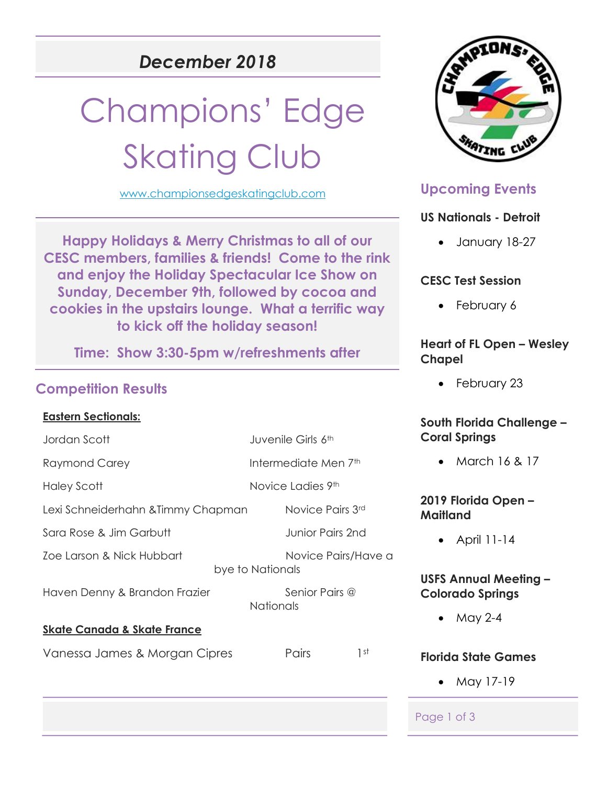## December 2018

# Champions' Edge **Skating Club**

www.championsedgeskatingclub.com

Happy Holidays & Merry Christmas to all of our CESC members, families & friends! Come to the rink and enjoy the Holiday Spectacular Ice Show on Sunday, December 9th, followed by cocoa and cookies in the upstairs lounge. What a terrific way to kick off the holiday season!

Time: Show 3:30-5pm w/refreshments after

#### Competition Results

#### Eastern Sectionals:

Jordan Scott Juvenile Girls 6th

Raymond Carey **Intermediate Men 7th** 

Lexi Schneiderhahn &Timmy Chapman Novice Pairs 3rd

Sara Rose & Jim Garbutt **Sarabutt** Junior Pairs 2nd

Zoe Larson & Nick Hubbart Novice Pairs/Have a

Haven Denny & Brandon Frazier Senior Pairs @

#### Skate Canada & Skate France

Vanessa James & Morgan Cipres Pairs 1st

bye to Nationals

**Nationals** 



### Upcoming Events

#### US Nationals - Detroit

January 18-27

#### CESC Test Session

• February 6

#### Heart of FL Open – Wesley Chapel

• February 23

#### South Florida Challenge – Coral Springs

• March 16 & 17

#### 2019 Florida Open – Maitland

April 11-14

#### USFS Annual Meeting – Colorado Springs

 $•$  May 2-4

#### Florida State Games

• May 17-19

#### Page 1 of 3

Haley Scott Novice Ladies 9th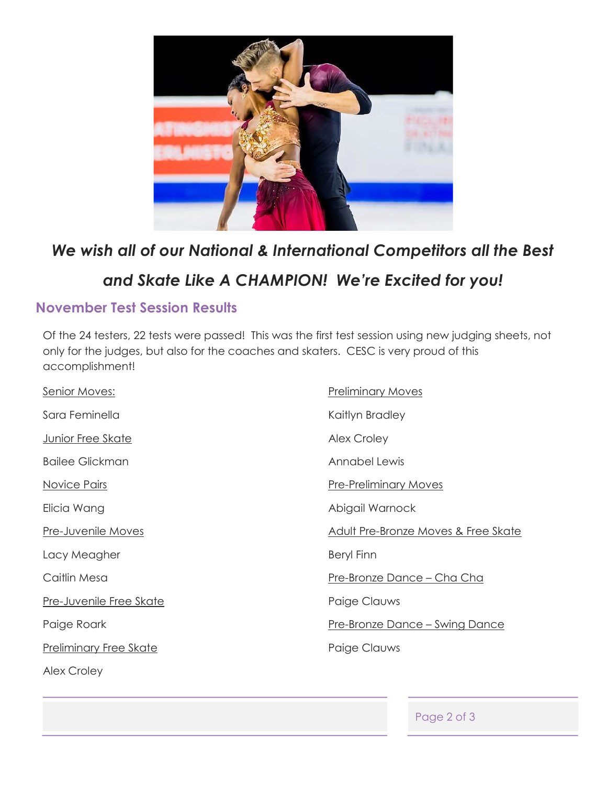

# We wish all of our National & International Competitors all the Best and Skate Like A CHAMPION! We're Excited for you!

#### November Test Session Results

Of the 24 testers, 22 tests were passed! This was the first test session using new judging sheets, not only for the judges, but also for the coaches and skaters. CESC is very proud of this accomplishment!

| <b>Senior Moves:</b>           | <b>Preliminary Moves</b>               |
|--------------------------------|----------------------------------------|
| Sara Feminella                 | Kaitlyn Bradley                        |
| <b>Junior Free Skate</b>       | <b>Alex Croley</b>                     |
| <b>Bailee Glickman</b>         | Annabel Lewis                          |
| Novice Pairs                   | <b>Pre-Preliminary Moves</b>           |
| Elicia Wang                    | Abigail Warnock                        |
| <b>Pre-Juvenile Moves</b>      | Adult Pre-Bronze Moves & Free Skate    |
| Lacy Meagher                   | <b>Beryl Finn</b>                      |
| Caitlin Mesa                   | <u> Pre-Bronze Dance – Cha Cha</u>     |
| <b>Pre-Juvenile Free Skate</b> | Paige Clauws                           |
| Paige Roark                    | <u> Pre-Bronze Dance – Swing Dance</u> |
| <b>Preliminary Free Skate</b>  | Paige Clauws                           |
| <b>Alex Croley</b>             |                                        |

Page 2 of 3